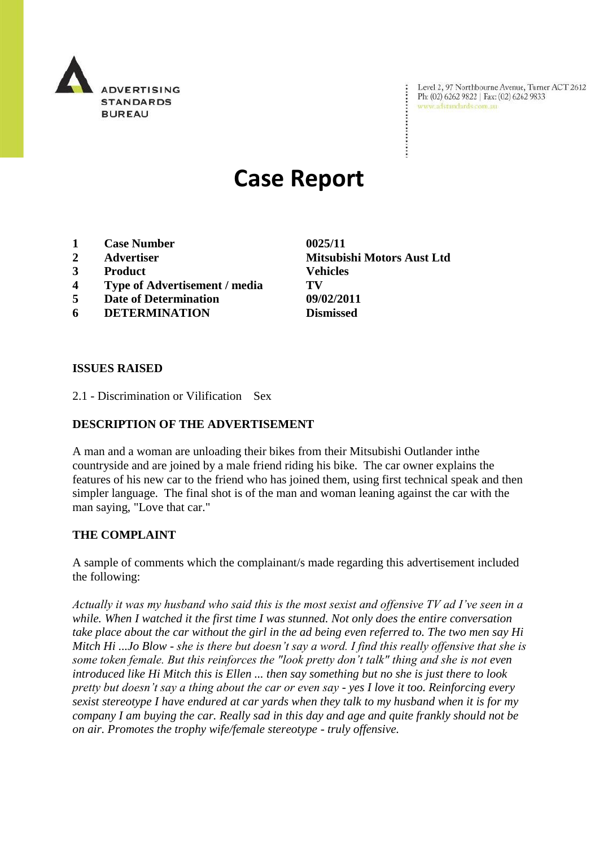

Level 2, 97 Northbourne Avenue, Turner ACT 2612 Ph: (02) 6262 9822 | Fax: (02) 6262 9833 www.adstandards.com.au

# **Case Report**

- **1 Case Number 0025/11**
- 
- **3 Product Vehicles**
- **4 Type of Advertisement / media TV**
- **5 Date of Determination 09/02/2011**
- **6 DETERMINATION Dismissed**

**2 Advertiser Mitsubishi Motors Aust Ltd**

 $\ddot{\cdot}$ 

#### **ISSUES RAISED**

2.1 - Discrimination or Vilification Sex

### **DESCRIPTION OF THE ADVERTISEMENT**

A man and a woman are unloading their bikes from their Mitsubishi Outlander inthe countryside and are joined by a male friend riding his bike. The car owner explains the features of his new car to the friend who has joined them, using first technical speak and then simpler language. The final shot is of the man and woman leaning against the car with the man saying, "Love that car."

#### **THE COMPLAINT**

A sample of comments which the complainant/s made regarding this advertisement included the following:

*Actually it was my husband who said this is the most sexist and offensive TV ad I've seen in a while. When I watched it the first time I was stunned. Not only does the entire conversation take place about the car without the girl in the ad being even referred to. The two men say Hi Mitch Hi ...Jo Blow - she is there but doesn't say a word. I find this really offensive that she is some token female. But this reinforces the "look pretty don't talk" thing and she is not even introduced like Hi Mitch this is Ellen ... then say something but no she is just there to look pretty but doesn't say a thing about the car or even say - yes I love it too. Reinforcing every sexist stereotype I have endured at car yards when they talk to my husband when it is for my company I am buying the car. Really sad in this day and age and quite frankly should not be on air. Promotes the trophy wife/female stereotype - truly offensive.*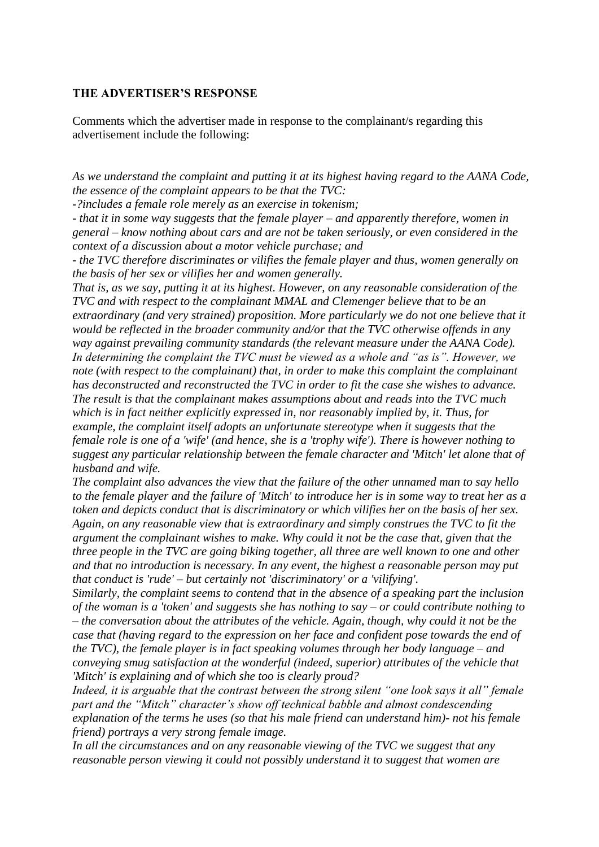#### **THE ADVERTISER'S RESPONSE**

Comments which the advertiser made in response to the complainant/s regarding this advertisement include the following:

*As we understand the complaint and putting it at its highest having regard to the AANA Code, the essence of the complaint appears to be that the TVC:*

*-?includes a female role merely as an exercise in tokenism;*

*- that it in some way suggests that the female player – and apparently therefore, women in general – know nothing about cars and are not be taken seriously, or even considered in the context of a discussion about a motor vehicle purchase; and*

*- the TVC therefore discriminates or vilifies the female player and thus, women generally on the basis of her sex or vilifies her and women generally.* 

*That is, as we say, putting it at its highest. However, on any reasonable consideration of the TVC and with respect to the complainant MMAL and Clemenger believe that to be an extraordinary (and very strained) proposition. More particularly we do not one believe that it would be reflected in the broader community and/or that the TVC otherwise offends in any way against prevailing community standards (the relevant measure under the AANA Code). In determining the complaint the TVC must be viewed as a whole and "as is". However, we note (with respect to the complainant) that, in order to make this complaint the complainant has deconstructed and reconstructed the TVC in order to fit the case she wishes to advance. The result is that the complainant makes assumptions about and reads into the TVC much which is in fact neither explicitly expressed in, nor reasonably implied by, it. Thus, for example, the complaint itself adopts an unfortunate stereotype when it suggests that the female role is one of a 'wife' (and hence, she is a 'trophy wife'). There is however nothing to suggest any particular relationship between the female character and 'Mitch' let alone that of husband and wife.*

*The complaint also advances the view that the failure of the other unnamed man to say hello to the female player and the failure of 'Mitch' to introduce her is in some way to treat her as a token and depicts conduct that is discriminatory or which vilifies her on the basis of her sex. Again, on any reasonable view that is extraordinary and simply construes the TVC to fit the argument the complainant wishes to make. Why could it not be the case that, given that the three people in the TVC are going biking together, all three are well known to one and other and that no introduction is necessary. In any event, the highest a reasonable person may put that conduct is 'rude' – but certainly not 'discriminatory' or a 'vilifying'.*

*Similarly, the complaint seems to contend that in the absence of a speaking part the inclusion of the woman is a 'token' and suggests she has nothing to say – or could contribute nothing to – the conversation about the attributes of the vehicle. Again, though, why could it not be the case that (having regard to the expression on her face and confident pose towards the end of the TVC), the female player is in fact speaking volumes through her body language – and conveying smug satisfaction at the wonderful (indeed, superior) attributes of the vehicle that 'Mitch' is explaining and of which she too is clearly proud?*

*Indeed, it is arguable that the contrast between the strong silent "one look says it all" female part and the "Mitch" character's show off technical babble and almost condescending explanation of the terms he uses (so that his male friend can understand him)- not his female friend) portrays a very strong female image.*

*In all the circumstances and on any reasonable viewing of the TVC we suggest that any reasonable person viewing it could not possibly understand it to suggest that women are*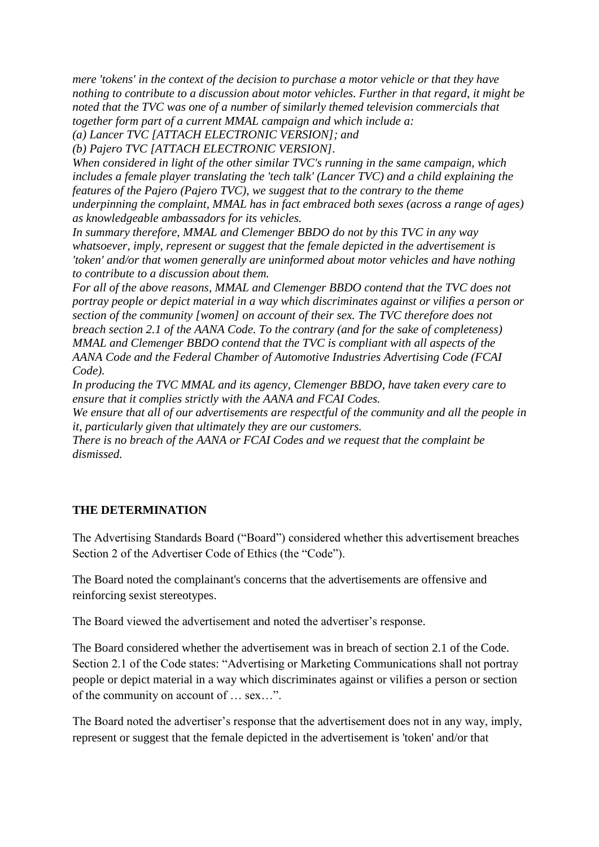*mere 'tokens' in the context of the decision to purchase a motor vehicle or that they have nothing to contribute to a discussion about motor vehicles. Further in that regard, it might be noted that the TVC was one of a number of similarly themed television commercials that together form part of a current MMAL campaign and which include a:*

*(a) Lancer TVC [ATTACH ELECTRONIC VERSION]; and*

*(b) Pajero TVC [ATTACH ELECTRONIC VERSION].*

*When considered in light of the other similar TVC's running in the same campaign, which includes a female player translating the 'tech talk' (Lancer TVC) and a child explaining the features of the Pajero (Pajero TVC), we suggest that to the contrary to the theme underpinning the complaint, MMAL has in fact embraced both sexes (across a range of ages) as knowledgeable ambassadors for its vehicles.*

*In summary therefore, MMAL and Clemenger BBDO do not by this TVC in any way whatsoever, imply, represent or suggest that the female depicted in the advertisement is 'token' and/or that women generally are uninformed about motor vehicles and have nothing to contribute to a discussion about them.*

*For all of the above reasons, MMAL and Clemenger BBDO contend that the TVC does not portray people or depict material in a way which discriminates against or vilifies a person or section of the community [women] on account of their sex. The TVC therefore does not breach section 2.1 of the AANA Code. To the contrary (and for the sake of completeness) MMAL and Clemenger BBDO contend that the TVC is compliant with all aspects of the AANA Code and the Federal Chamber of Automotive Industries Advertising Code (FCAI Code).*

*In producing the TVC MMAL and its agency, Clemenger BBDO, have taken every care to ensure that it complies strictly with the AANA and FCAI Codes.*

*We ensure that all of our advertisements are respectful of the community and all the people in it, particularly given that ultimately they are our customers.*

*There is no breach of the AANA or FCAI Codes and we request that the complaint be dismissed.*

## **THE DETERMINATION**

The Advertising Standards Board ("Board") considered whether this advertisement breaches Section 2 of the Advertiser Code of Ethics (the "Code").

The Board noted the complainant's concerns that the advertisements are offensive and reinforcing sexist stereotypes.

The Board viewed the advertisement and noted the advertiser's response.

The Board considered whether the advertisement was in breach of section 2.1 of the Code. Section 2.1 of the Code states: "Advertising or Marketing Communications shall not portray people or depict material in a way which discriminates against or vilifies a person or section of the community on account of … sex…".

The Board noted the advertiser's response that the advertisement does not in any way, imply, represent or suggest that the female depicted in the advertisement is 'token' and/or that